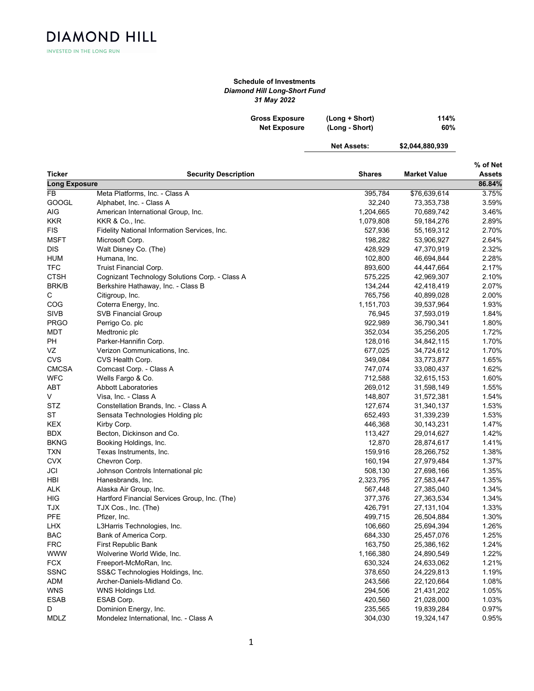**DIAMOND HILL** INVESTED IN THE LONG RUN

## Schedule of Investments Diamond Hill Long-Short Fund 31 May 2022

| <b>Gross Exposure</b> | (Long + Short) | 114% |
|-----------------------|----------------|------|
| <b>Net Exposure</b>   | (Long - Short) | 60%  |

Net Assets: \$2,044,88

| 80.93 |  |
|-------|--|
|       |  |

|                      |                                                |           |                     | % of Net |
|----------------------|------------------------------------------------|-----------|---------------------|----------|
| Ticker               | <b>Security Description</b>                    | Shares    | <b>Market Value</b> | Assets   |
| <b>Long Exposure</b> |                                                |           |                     | 86.84%   |
| FB.                  | Meta Platforms, Inc. - Class A                 | 395,784   | \$76,639,614        | 3.75%    |
| <b>GOOGL</b>         | Alphabet, Inc. - Class A                       | 32,240    | 73,353,738          | 3.59%    |
| AIG                  | American International Group, Inc.             | 1,204,665 | 70,689,742          | 3.46%    |
| <b>KKR</b>           | KKR & Co., Inc.                                | 1,079,808 | 59,184,276          | 2.89%    |
| <b>FIS</b>           | Fidelity National Information Services, Inc.   | 527,936   | 55,169,312          | 2.70%    |
| <b>MSFT</b>          | Microsoft Corp.                                | 198,282   | 53,906,927          | 2.64%    |
| DIS                  | Walt Disney Co. (The)                          | 428,929   | 47,370,919          | 2.32%    |
| <b>HUM</b>           | Humana, Inc.                                   | 102,800   | 46,694,844          | 2.28%    |
| <b>TFC</b>           | Truist Financial Corp.                         | 893,600   | 44,447,664          | 2.17%    |
| <b>CTSH</b>          | Cognizant Technology Solutions Corp. - Class A | 575,225   | 42,969,307          | 2.10%    |
| <b>BRK/B</b>         | Berkshire Hathaway, Inc. - Class B             | 134,244   | 42,418,419          | 2.07%    |
| С                    | Citigroup, Inc.                                | 765,756   | 40,899,028          | 2.00%    |
| COG                  | Coterra Energy, Inc.                           | 1,151,703 | 39,537,964          | 1.93%    |
| <b>SIVB</b>          | <b>SVB Financial Group</b>                     | 76,945    | 37,593,019          | 1.84%    |
| <b>PRGO</b>          | Perrigo Co. plc                                | 922,989   | 36,790,341          | 1.80%    |
| MDT                  | Medtronic plc                                  | 352,034   | 35,256,205          | 1.72%    |
| PH                   | Parker-Hannifin Corp.                          | 128,016   | 34,842,115          | 1.70%    |
| VZ                   | Verizon Communications, Inc.                   | 677,025   | 34,724,612          | 1.70%    |
| CVS                  | CVS Health Corp.                               | 349,084   | 33,773,877          | 1.65%    |
| <b>CMCSA</b>         | Comcast Corp. - Class A                        | 747,074   | 33,080,437          | 1.62%    |
| WFC                  | Wells Fargo & Co.                              | 712,588   | 32,615,153          | 1.60%    |
| ABT                  | <b>Abbott Laboratories</b>                     | 269,012   | 31,598,149          | 1.55%    |
| V                    | Visa, Inc. - Class A                           | 148,807   | 31,572,381          | 1.54%    |
| <b>STZ</b>           | Constellation Brands, Inc. - Class A           | 127,674   | 31,340,137          | 1.53%    |
| ST                   |                                                | 652,493   |                     | 1.53%    |
| <b>KEX</b>           | Sensata Technologies Holding plc               | 446,368   | 31,339,239          | 1.47%    |
|                      | Kirby Corp.                                    |           | 30,143,231          |          |
| <b>BDX</b>           | Becton, Dickinson and Co.                      | 113,427   | 29,014,627          | 1.42%    |
| <b>BKNG</b>          | Booking Holdings, Inc.                         | 12,870    | 28,874,617          | 1.41%    |
| <b>TXN</b>           | Texas Instruments, Inc.                        | 159,916   | 28,266,752          | 1.38%    |
| <b>CVX</b>           | Chevron Corp.                                  | 160,194   | 27,979,484          | 1.37%    |
| JCI                  | Johnson Controls International plc             | 508,130   | 27,698,166          | 1.35%    |
| HBI                  | Hanesbrands, Inc.                              | 2,323,795 | 27,583,447          | 1.35%    |
| <b>ALK</b>           | Alaska Air Group, Inc.                         | 567,448   | 27,385,040          | 1.34%    |
| HIG                  | Hartford Financial Services Group, Inc. (The)  | 377,376   | 27,363,534          | 1.34%    |
| <b>TJX</b>           | TJX Cos., Inc. (The)                           | 426,791   | 27, 131, 104        | 1.33%    |
| PFE                  | Pfizer, Inc.                                   | 499,715   | 26,504,884          | 1.30%    |
| <b>LHX</b>           | L3Harris Technologies, Inc.                    | 106,660   | 25,694,394          | 1.26%    |
| <b>BAC</b>           | Bank of America Corp.                          | 684,330   | 25,457,076          | 1.25%    |
| <b>FRC</b>           | <b>First Republic Bank</b>                     | 163,750   | 25,386,162          | 1.24%    |
| <b>WWW</b>           | Wolverine World Wide, Inc.                     | 1,166,380 | 24,890,549          | 1.22%    |
| <b>FCX</b>           | Freeport-McMoRan, Inc.                         | 630,324   | 24,633,062          | 1.21%    |
| <b>SSNC</b>          | SS&C Technologies Holdings, Inc.               | 378,650   | 24,229,813          | 1.19%    |
| ADM                  | Archer-Daniels-Midland Co.                     | 243,566   | 22,120,664          | 1.08%    |
| <b>WNS</b>           | WNS Holdings Ltd.                              | 294,506   | 21,431,202          | 1.05%    |
| <b>ESAB</b>          | ESAB Corp.                                     | 420,560   | 21,028,000          | 1.03%    |
| D                    | Dominion Energy, Inc.                          | 235,565   | 19,839,284          | 0.97%    |
| MDLZ                 | Mondelez International, Inc. - Class A         | 304,030   | 19,324,147          | 0.95%    |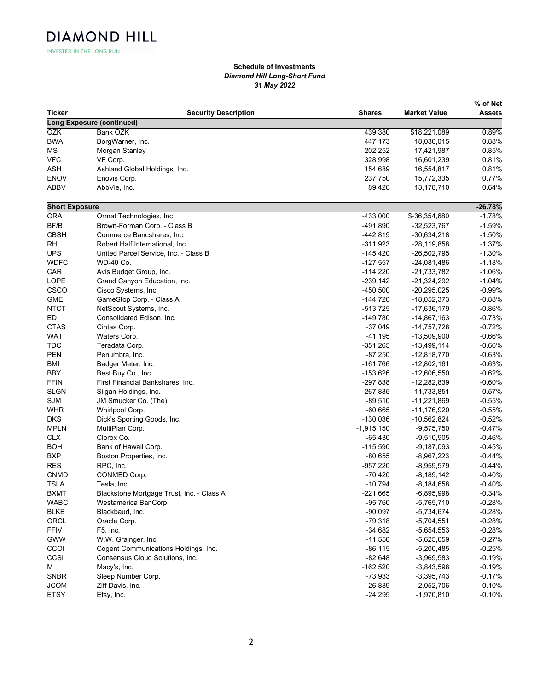INVESTED IN THE LONG RUN

**DIAMOND HILL** 

## Schedule of Investments Diamond Hill Long-Short Fund 31 May 2022

|                       |                                           |               |                     | % of Net  |
|-----------------------|-------------------------------------------|---------------|---------------------|-----------|
| Ticker                | <b>Security Description</b>               | <b>Shares</b> | <b>Market Value</b> | Assets    |
|                       | <b>Long Exposure (continued)</b>          |               |                     |           |
| <b>OZK</b>            | Bank OZK                                  | 439,380       | \$18,221,089        | 0.89%     |
| <b>BWA</b>            | BorgWarner, Inc.                          | 447,173       | 18,030,015          | 0.88%     |
| МS                    | Morgan Stanley                            | 202,252       | 17,421,987          | 0.85%     |
| <b>VFC</b>            | VF Corp.                                  | 328,998       | 16,601,239          | 0.81%     |
| <b>ASH</b>            | Ashland Global Holdings, Inc.             | 154,689       | 16,554,817          | 0.81%     |
| <b>ENOV</b>           | Enovis Corp.                              | 237,750       | 15,772,335          | 0.77%     |
| <b>ABBV</b>           | AbbVie, Inc.                              | 89,426        | 13,178,710          | 0.64%     |
| <b>Short Exposure</b> |                                           |               |                     | $-26.78%$ |
| <b>ORA</b>            | Ormat Technologies, Inc.                  | $-433,000$    | \$-36,354,680       | $-1.78%$  |
| BF/B                  | Brown-Forman Corp. - Class B              | -491,890      | $-32,523,767$       | $-1.59%$  |
| <b>CBSH</b>           | Commerce Bancshares, Inc.                 | $-442,819$    | $-30,634,218$       | $-1.50%$  |
| RHI                   | Robert Half International, Inc.           | $-311,923$    | $-28,119,858$       | $-1.37%$  |
| <b>UPS</b>            | United Parcel Service, Inc. - Class B     | $-145,420$    | $-26,502,795$       | $-1.30%$  |
| <b>WDFC</b>           | <b>WD-40 Co.</b>                          | $-127,557$    | $-24,081,486$       | $-1.18%$  |
| <b>CAR</b>            | Avis Budget Group, Inc.                   | $-114,220$    | $-21,733,782$       | $-1.06%$  |
| LOPE                  | Grand Canyon Education, Inc.              | $-239,142$    | $-21,324,292$       | $-1.04%$  |
| CSCO                  | Cisco Systems, Inc.                       | -450,500      | $-20,295,025$       | $-0.99%$  |
| <b>GME</b>            | GameStop Corp. - Class A                  | $-144,720$    | $-18,052,373$       | $-0.88%$  |
| <b>NTCT</b>           | NetScout Systems, Inc.                    | $-513,725$    | $-17,636,179$       | $-0.86%$  |
| ED                    | Consolidated Edison, Inc.                 | $-149,780$    | $-14,867,163$       | $-0.73%$  |
| <b>CTAS</b>           | Cintas Corp.                              | $-37,049$     | $-14,757,728$       | $-0.72%$  |
| <b>WAT</b>            | Waters Corp.                              | $-41,195$     | $-13,509,900$       | $-0.66%$  |
|                       |                                           |               |                     |           |
| <b>TDC</b>            | Teradata Corp.                            | $-351,265$    | -13,499,114         | $-0.66%$  |
| <b>PEN</b>            | Penumbra, Inc.                            | $-87,250$     | $-12,818,770$       | $-0.63%$  |
| <b>BMI</b>            | Badger Meter, Inc.                        | $-161,766$    | $-12,802,161$       | $-0.63%$  |
| <b>BBY</b>            | Best Buy Co., Inc.                        | $-153,626$    | $-12,606,550$       | $-0.62%$  |
| <b>FFIN</b>           | First Financial Bankshares, Inc.          | $-297,838$    | -12,282,839         | $-0.60%$  |
| <b>SLGN</b>           | Silgan Holdings, Inc.                     | $-267,835$    | $-11,733,851$       | $-0.57%$  |
| <b>SJM</b>            | JM Smucker Co. (The)                      | $-89,510$     | $-11,221,869$       | -0.55%    |
| <b>WHR</b>            | Whirlpool Corp.                           | $-60,665$     | $-11,176,920$       | $-0.55%$  |
| <b>DKS</b>            | Dick's Sporting Goods, Inc.               | $-130,036$    | $-10,562,824$       | $-0.52%$  |
| <b>MPLN</b>           | MultiPlan Corp.                           | $-1,915,150$  | $-9,575,750$        | $-0.47%$  |
| <b>CLX</b>            | Clorox Co.                                | $-65,430$     | $-9,510,905$        | $-0.46%$  |
| <b>BOH</b>            | Bank of Hawaii Corp.                      | $-115,590$    | $-9,187,093$        | $-0.45%$  |
| <b>BXP</b>            | Boston Properties, Inc.                   | $-80,655$     | $-8,967,223$        | $-0.44%$  |
| <b>RES</b>            | RPC, Inc.                                 | $-957,220$    | $-8,959,579$        | $-0.44%$  |
| <b>CNMD</b>           | CONMED Corp.                              | $-70,420$     | $-8,189,142$        | $-0.40%$  |
| <b>TSLA</b>           | Tesla, Inc.                               | $-10,794$     | -8,184,658          | $-0.40%$  |
| <b>BXMT</b>           | Blackstone Mortgage Trust, Inc. - Class A | $-221,665$    | $-6,895,998$        | $-0.34%$  |
| <b>WABC</b>           | Westamerica BanCorp.                      | $-95,760$     | $-5,765,710$        | $-0.28%$  |
| <b>BLKB</b>           | Blackbaud, Inc.                           | $-90,097$     | $-5,734,674$        | $-0.28%$  |
| ORCL                  | Oracle Corp.                              | $-79,318$     | $-5,704,551$        | $-0.28%$  |
| <b>FFIV</b>           | F5, Inc.                                  | $-34,682$     | $-5,654,553$        | $-0.28%$  |
| <b>GWW</b>            | W.W. Grainger, Inc.                       | $-11,550$     | $-5,625,659$        | $-0.27%$  |
| CCOI                  | Cogent Communications Holdings, Inc.      | $-86, 115$    | $-5,200,485$        | $-0.25%$  |
| CCSI                  | Consensus Cloud Solutions, Inc.           | $-82,648$     | $-3,969,583$        | $-0.19%$  |
|                       |                                           | $-162,520$    |                     |           |
| М                     | Macy's, Inc.                              |               | $-3,843,598$        | $-0.19%$  |
| <b>SNBR</b>           | Sleep Number Corp.                        | $-73,933$     | $-3,395,743$        | -0.17%    |
| <b>JCOM</b>           | Ziff Davis, Inc.                          | $-26,889$     | $-2,052,706$        | $-0.10%$  |
| <b>ETSY</b>           | Etsy, Inc.                                | $-24,295$     | $-1,970,810$        | $-0.10%$  |